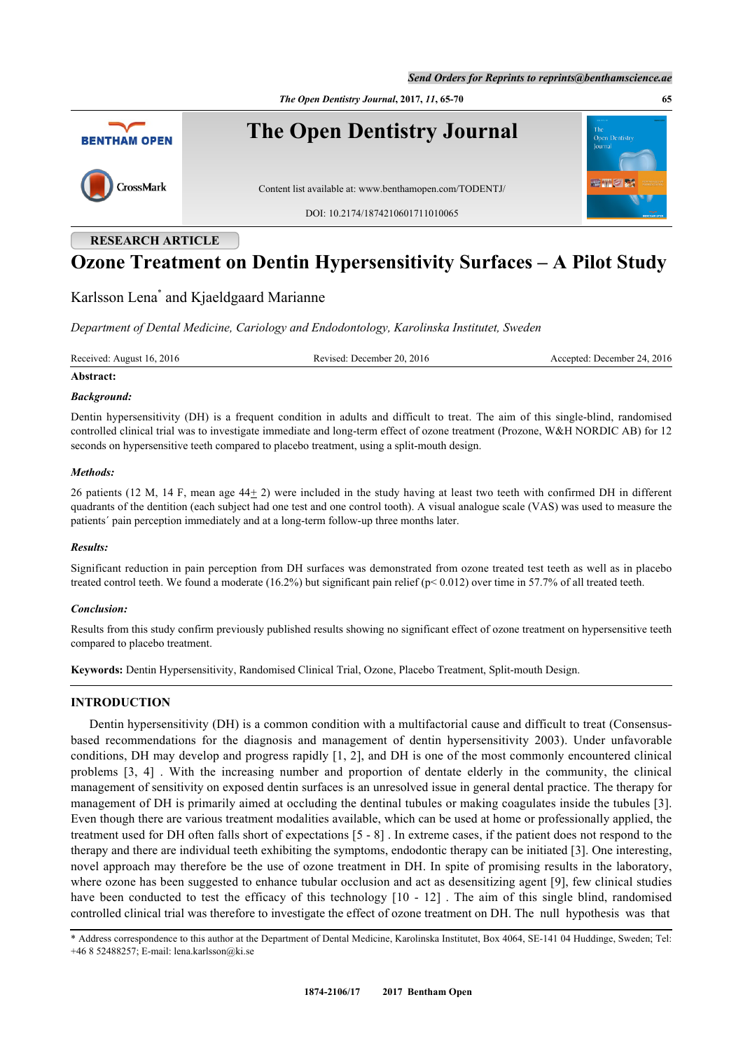*The Open Dentistry Journal***, 2017,** *11***, 65-70 65**



# **RESEARCH ARTICLE**

# **Ozone Treatment on Dentin Hypersensitivity Surfaces – A Pilot Study**

# Karlsson Lena[\\*](#page-0-0) and Kjaeldgaard Marianne

*Department of Dental Medicine, Cariology and Endodontology, Karolinska Institutet, Sweden*

Received: August 16, 2016 Revised: December 20, 2016 Accepted: December 24, 2016

# **Abstract:**

#### *Background:*

Dentin hypersensitivity (DH) is a frequent condition in adults and difficult to treat. The aim of this single-blind, randomised controlled clinical trial was to investigate immediate and long-term effect of ozone treatment (Prozone, W&H NORDIC AB) for 12 seconds on hypersensitive teeth compared to placebo treatment, using a split-mouth design.

# *Methods:*

26 patients (12 M, 14 F, mean age  $44<sub>\pm</sub>$  2) were included in the study having at least two teeth with confirmed DH in different quadrants of the dentition (each subject had one test and one control tooth). A visual analogue scale (VAS) was used to measure the patients´ pain perception immediately and at a long-term follow-up three months later.

#### *Results:*

Significant reduction in pain perception from DH surfaces was demonstrated from ozone treated test teeth as well as in placebo treated control teeth. We found a moderate (16.2%) but significant pain relief ( $p < 0.012$ ) over time in 57.7% of all treated teeth.

# *Conclusion:*

Results from this study confirm previously published results showing no significant effect of ozone treatment on hypersensitive teeth compared to placebo treatment.

**Keywords:** Dentin Hypersensitivity, Randomised Clinical Trial, Ozone, Placebo Treatment, Split-mouth Design.

# **INTRODUCTION**

Dentin hypersensitivity (DH) is a common condition with a multifactorial cause and difficult to treat (Consensusbased recommendations for the diagnosis and management of dentin hypersensitivity 2003). Under unfavorable conditions, DH may develop and progress rapidly [[1](#page-4-0), [2\]](#page-4-1), and DH is one of the most commonly encountered clinical problems[[3,](#page-4-2) [4](#page-4-3)] . With the increasing number and proportion of dentate elderly in the community, the clinical management of sensitivity on exposed dentin surfaces is an unresolved issue in general dental practice. The therapy for management of DH is primarily aimed at occluding the dentinal tubules or making coagulates inside the tubules [[3\]](#page-4-2). Even though there are various treatment modalities available, which can be used at home or professionally applied, the treatment used for DH often falls short of expectations [[5](#page-4-4) - [8\]](#page-4-5) . In extreme cases, if the patient does not respond to the therapy and there are individual teeth exhibiting the symptoms, endodontic therapy can be initiated [[3\]](#page-4-2). One interesting, novel approach may therefore be the use of ozone treatment in DH. In spite of promising results in the laboratory, where ozone has been suggested to enhance tubular occlusion and act as desensitizing agent [[9\]](#page-4-6), few clinical studies havebeen conducted to test the efficacy of this technology  $[10 - 12]$  $[10 - 12]$  $[10 - 12]$  $[10 - 12]$ . The aim of this single blind, randomised controlled clinical trial was therefore to investigate the effect of ozone treatment on DH. The null hypothesis was that

<span id="page-0-0"></span>\* Address correspondence to this author at the Department of Dental Medicine, Karolinska Institutet, Box 4064, SE-141 04 Huddinge, Sweden; Tel: +46 8 52488257; E-mail: [lena.karlsson@ki.se](mailto:lena.karlsson@ki.se)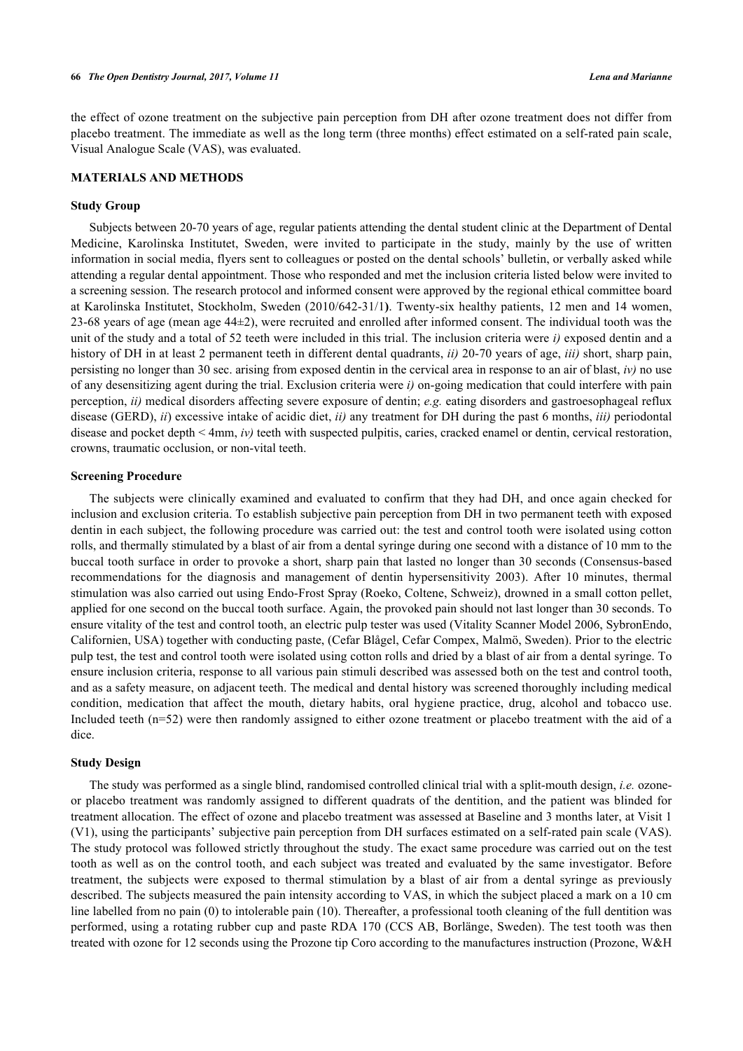the effect of ozone treatment on the subjective pain perception from DH after ozone treatment does not differ from placebo treatment. The immediate as well as the long term (three months) effect estimated on a self-rated pain scale, Visual Analogue Scale (VAS), was evaluated.

## **MATERIALS AND METHODS**

#### **Study Group**

Subjects between 20-70 years of age, regular patients attending the dental student clinic at the Department of Dental Medicine, Karolinska Institutet, Sweden, were invited to participate in the study, mainly by the use of written information in social media, flyers sent to colleagues or posted on the dental schools' bulletin, or verbally asked while attending a regular dental appointment. Those who responded and met the inclusion criteria listed below were invited to a screening session. The research protocol and informed consent were approved by the regional ethical committee board at Karolinska Institutet, Stockholm, Sweden (2010/642-31/1**)**. Twenty-six healthy patients, 12 men and 14 women, 23-68 years of age (mean age 44±2), were recruited and enrolled after informed consent. The individual tooth was the unit of the study and a total of 52 teeth were included in this trial. The inclusion criteria were *i)* exposed dentin and a history of DH in at least 2 permanent teeth in different dental quadrants, *ii)* 20-70 years of age, *iii)* short, sharp pain, persisting no longer than 30 sec. arising from exposed dentin in the cervical area in response to an air of blast, *iv)* no use of any desensitizing agent during the trial. Exclusion criteria were *i)* on-going medication that could interfere with pain perception, *ii)* medical disorders affecting severe exposure of dentin; *e.g.* eating disorders and gastroesophageal reflux disease (GERD), *ii*) excessive intake of acidic diet, *ii)* any treatment for DH during the past 6 months, *iii)* periodontal disease and pocket depth < 4mm, *iv)* teeth with suspected pulpitis, caries, cracked enamel or dentin, cervical restoration, crowns, traumatic occlusion, or non-vital teeth.

### **Screening Procedure**

The subjects were clinically examined and evaluated to confirm that they had DH, and once again checked for inclusion and exclusion criteria. To establish subjective pain perception from DH in two permanent teeth with exposed dentin in each subject, the following procedure was carried out: the test and control tooth were isolated using cotton rolls, and thermally stimulated by a blast of air from a dental syringe during one second with a distance of 10 mm to the buccal tooth surface in order to provoke a short, sharp pain that lasted no longer than 30 seconds (Consensus-based recommendations for the diagnosis and management of dentin hypersensitivity 2003). After 10 minutes, thermal stimulation was also carried out using Endo-Frost Spray (Roeko, Coltene, Schweiz), drowned in a small cotton pellet, applied for one second on the buccal tooth surface. Again, the provoked pain should not last longer than 30 seconds. To ensure vitality of the test and control tooth, an electric pulp tester was used (Vitality Scanner Model 2006, SybronEndo, Californien, USA) together with conducting paste, (Cefar Blågel, Cefar Compex, Malmö, Sweden). Prior to the electric pulp test, the test and control tooth were isolated using cotton rolls and dried by a blast of air from a dental syringe. To ensure inclusion criteria, response to all various pain stimuli described was assessed both on the test and control tooth, and as a safety measure, on adjacent teeth. The medical and dental history was screened thoroughly including medical condition, medication that affect the mouth, dietary habits, oral hygiene practice, drug, alcohol and tobacco use. Included teeth (n=52) were then randomly assigned to either ozone treatment or placebo treatment with the aid of a dice.

#### **Study Design**

The study was performed as a single blind, randomised controlled clinical trial with a split-mouth design, *i.e.* ozoneor placebo treatment was randomly assigned to different quadrats of the dentition, and the patient was blinded for treatment allocation. The effect of ozone and placebo treatment was assessed at Baseline and 3 months later, at Visit 1 (V1), using the participants' subjective pain perception from DH surfaces estimated on a self-rated pain scale (VAS). The study protocol was followed strictly throughout the study. The exact same procedure was carried out on the test tooth as well as on the control tooth, and each subject was treated and evaluated by the same investigator. Before treatment, the subjects were exposed to thermal stimulation by a blast of air from a dental syringe as previously described. The subjects measured the pain intensity according to VAS, in which the subject placed a mark on a 10 cm line labelled from no pain (0) to intolerable pain (10). Thereafter, a professional tooth cleaning of the full dentition was performed, using a rotating rubber cup and paste RDA 170 (CCS AB, Borlänge, Sweden). The test tooth was then treated with ozone for 12 seconds using the Prozone tip Coro according to the manufactures instruction (Prozone, W&H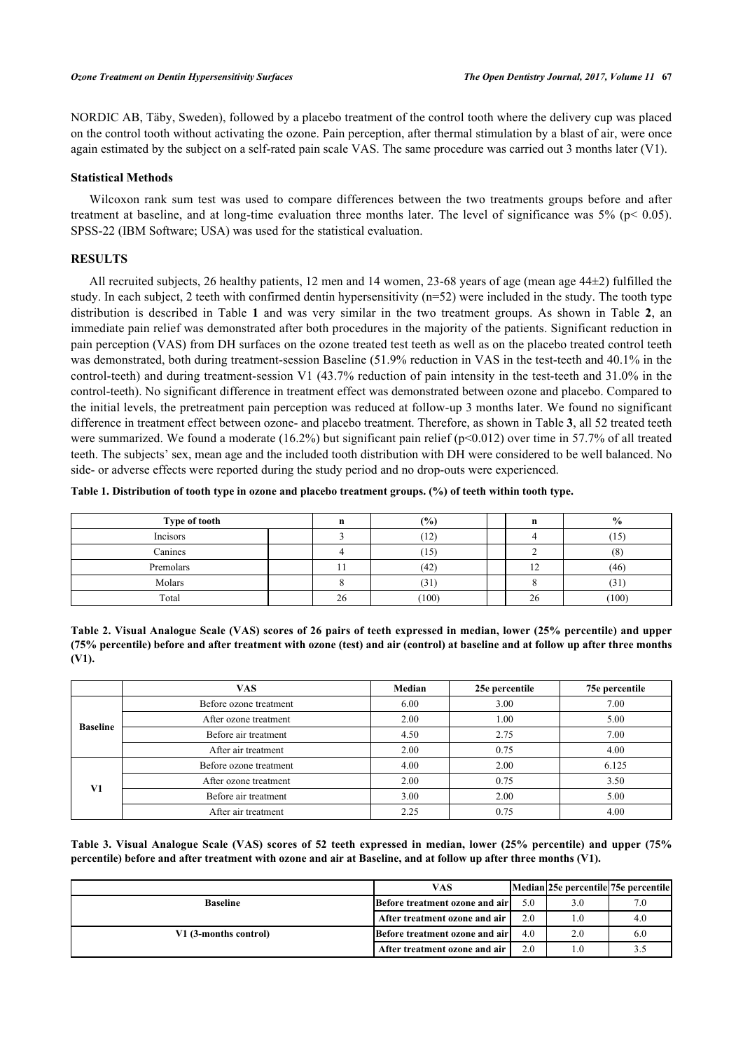NORDIC AB, Täby, Sweden), followed by a placebo treatment of the control tooth where the delivery cup was placed on the control tooth without activating the ozone. Pain perception, after thermal stimulation by a blast of air, were once again estimated by the subject on a self-rated pain scale VAS. The same procedure was carried out 3 months later (V1).

# **Statistical Methods**

Wilcoxon rank sum test was used to compare differences between the two treatments groups before and after treatment at baseline, and at long-time evaluation three months later. The level of significance was  $5\%$  (p< 0.05). SPSS-22 (IBM Software; USA) was used for the statistical evaluation.

# **RESULTS**

All recruited subjects, 26 healthy patients, 12 men and 14 women, 23-68 years of age (mean age 44±2) fulfilled the study. In each subject, 2 teeth with confirmed dentin hypersensitivity (n=52) were included in the study. The tooth type distribution is described in Table**1** and was very similar in the two treatment groups. As shown in Table**2**, an immediate pain relief was demonstrated after both procedures in the majority of the patients. Significant reduction in pain perception (VAS) from DH surfaces on the ozone treated test teeth as well as on the placebo treated control teeth was demonstrated, both during treatment-session Baseline (51.9% reduction in VAS in the test-teeth and 40.1% in the control-teeth) and during treatment-session V1 (43.7% reduction of pain intensity in the test-teeth and 31.0% in the control-teeth). No significant difference in treatment effect was demonstrated between ozone and placebo. Compared to the initial levels, the pretreatment pain perception was reduced at follow-up 3 months later. We found no significant difference in treatment effect between ozone- and placebo treatment. Therefore, as shown in Table **[3](#page-2-2)**, all 52 treated teeth were summarized. We found a moderate (16.2%) but significant pain relief ( $p<0.012$ ) over time in 57.7% of all treated teeth. The subjects' sex, mean age and the included tooth distribution with DH were considered to be well balanced. No side- or adverse effects were reported during the study period and no drop-outs were experienced.

<span id="page-2-0"></span>

| Table 1. Distribution of tooth type in ozone and placebo treatment groups. (%) of teeth within tooth type. |  |
|------------------------------------------------------------------------------------------------------------|--|
|------------------------------------------------------------------------------------------------------------|--|

| Type of tooth |              | (%)           |     | $\frac{6}{9}$ |
|---------------|--------------|---------------|-----|---------------|
| Incisors      |              | 12<br>1 L L   |     | $15^\circ$    |
| Canines       |              | (15           |     | (8)           |
| Premolars     |              | (42)          | . . | (46)          |
| Molars        |              | (21)<br>1 C J |     | (31)          |
| Total         | $\sim$<br>26 | (100)         | 26  | (100)         |

<span id="page-2-1"></span>**Table 2. Visual Analogue Scale (VAS) scores of 26 pairs of teeth expressed in median, lower (25% percentile) and upper (75% percentile) before and after treatment with ozone (test) and air (control) at baseline and at follow up after three months (V1).**

|                 | <b>VAS</b>             | Median | 25e percentile | 75e percentile |
|-----------------|------------------------|--------|----------------|----------------|
| <b>Baseline</b> | Before ozone treatment | 6.00   | 3.00           | 7.00           |
|                 | After ozone treatment  | 2.00   | 1.00           | 5.00           |
|                 | Before air treatment   | 4.50   | 2.75           | 7.00           |
|                 | After air treatment    | 2.00   | 0.75           | 4.00           |
| V1              | Before ozone treatment | 4.00   | 2.00           | 6.125          |
|                 | After ozone treatment  | 2.00   | 0.75           | 3.50           |
|                 | Before air treatment   | 3.00   | 2.00           | 5.00           |
|                 | After air treatment    | 2.25   | 0.75           | 4.00           |

<span id="page-2-2"></span>**Table 3. Visual Analogue Scale (VAS) scores of 52 teeth expressed in median, lower (25% percentile) and upper (75% percentile) before and after treatment with ozone and air at Baseline, and at follow up after three months (V1).**

|                       | <b>VAS</b>                      |     | Median 25e percentile 75e percentile |  |
|-----------------------|---------------------------------|-----|--------------------------------------|--|
| <b>Baseline</b>       | Before treatment ozone and air  | 5.0 |                                      |  |
|                       | After treatment ozone and air   | 2.0 |                                      |  |
| V1 (3-months control) | Before treatment ozone and airl | 4.0 |                                      |  |
|                       | After treatment ozone and air   | 2.0 |                                      |  |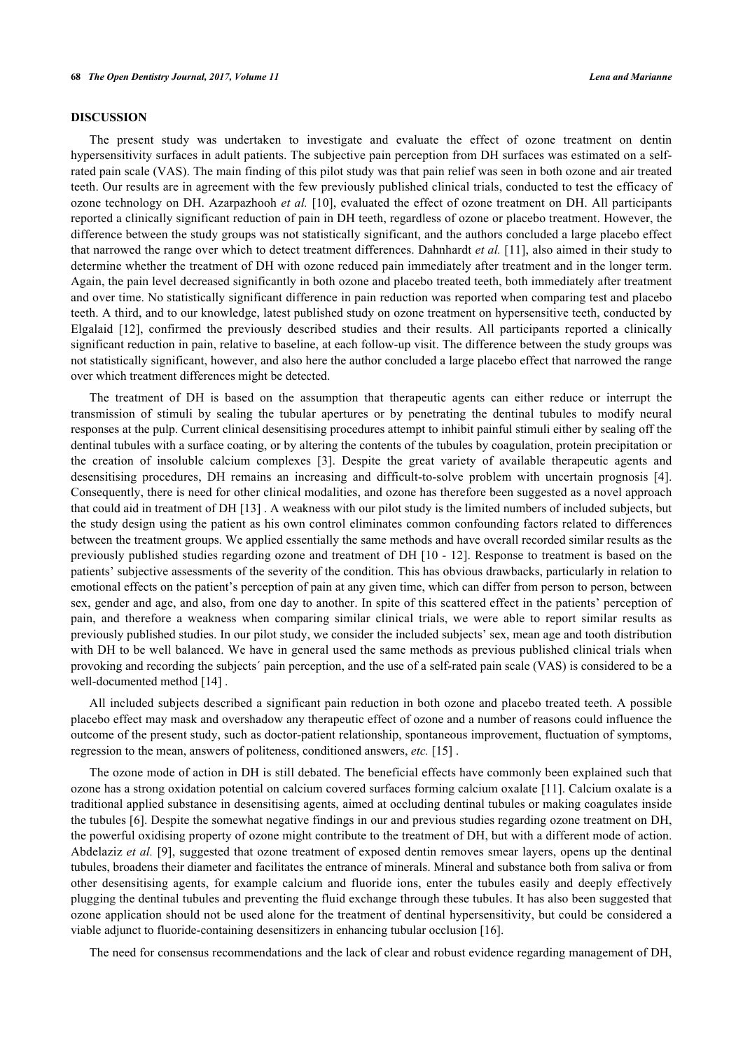#### **DISCUSSION**

The present study was undertaken to investigate and evaluate the effect of ozone treatment on dentin hypersensitivity surfaces in adult patients. The subjective pain perception from DH surfaces was estimated on a selfrated pain scale (VAS). The main finding of this pilot study was that pain relief was seen in both ozone and air treated teeth. Our results are in agreement with the few previously published clinical trials, conducted to test the efficacy of ozone technology on DH. Azarpazhooh *et al.* [[10\]](#page-4-7), evaluated the effect of ozone treatment on DH. All participants reported a clinically significant reduction of pain in DH teeth, regardless of ozone or placebo treatment. However, the difference between the study groups was not statistically significant, and the authors concluded a large placebo effect that narrowed the range over which to detect treatment differences. Dahnhardt *et al.* [[11\]](#page-4-8), also aimed in their study to determine whether the treatment of DH with ozone reduced pain immediately after treatment and in the longer term. Again, the pain level decreased significantly in both ozone and placebo treated teeth, both immediately after treatment and over time. No statistically significant difference in pain reduction was reported when comparing test and placebo teeth. A third, and to our knowledge, latest published study on ozone treatment on hypersensitive teeth, conducted by Elgalaid[[12\]](#page-5-0), confirmed the previously described studies and their results. All participants reported a clinically significant reduction in pain, relative to baseline, at each follow-up visit. The difference between the study groups was not statistically significant, however, and also here the author concluded a large placebo effect that narrowed the range over which treatment differences might be detected.

The treatment of DH is based on the assumption that therapeutic agents can either reduce or interrupt the transmission of stimuli by sealing the tubular apertures or by penetrating the dentinal tubules to modify neural responses at the pulp. Current clinical desensitising procedures attempt to inhibit painful stimuli either by sealing off the dentinal tubules with a surface coating, or by altering the contents of the tubules by coagulation, protein precipitation or the creation of insoluble calcium complexes[[3\]](#page-4-2). Despite the great variety of available therapeutic agents and desensitising procedures, DH remains an increasing and difficult-to-solve problem with uncertain prognosis[[4\]](#page-4-3). Consequently, there is need for other clinical modalities, and ozone has therefore been suggested as a novel approach that could aid in treatment of DH [[13\]](#page-5-1) . A weakness with our pilot study is the limited numbers of included subjects, but the study design using the patient as his own control eliminates common confounding factors related to differences between the treatment groups. We applied essentially the same methods and have overall recorded similar results as the previously published studies regarding ozone and treatment of DH [[10](#page-4-7) - [12](#page-5-0)]. Response to treatment is based on the patients' subjective assessments of the severity of the condition. This has obvious drawbacks, particularly in relation to emotional effects on the patient's perception of pain at any given time, which can differ from person to person, between sex, gender and age, and also, from one day to another. In spite of this scattered effect in the patients' perception of pain, and therefore a weakness when comparing similar clinical trials, we were able to report similar results as previously published studies. In our pilot study, we consider the included subjects' sex, mean age and tooth distribution with DH to be well balanced. We have in general used the same methods as previous published clinical trials when provoking and recording the subjects´ pain perception, and the use of a self-rated pain scale (VAS) is considered to be a well-documented method [\[14](#page-5-2)] .

All included subjects described a significant pain reduction in both ozone and placebo treated teeth. A possible placebo effect may mask and overshadow any therapeutic effect of ozone and a number of reasons could influence the outcome of the present study, such as doctor-patient relationship, spontaneous improvement, fluctuation of symptoms, regression to the mean, answers of politeness, conditioned answers, *etc.* [\[15](#page-5-3)] .

The ozone mode of action in DH is still debated. The beneficial effects have commonly been explained such that ozone has a strong oxidation potential on calcium covered surfaces forming calcium oxalate [\[11](#page-4-8)]. Calcium oxalate is a traditional applied substance in desensitising agents, aimed at occluding dentinal tubules or making coagulates inside the tubules [\[6](#page-4-9)]. Despite the somewhat negative findings in our and previous studies regarding ozone treatment on DH, the powerful oxidising property of ozone might contribute to the treatment of DH, but with a different mode of action. Abdelaziz *et al.* [\[9\]](#page-4-6), suggested that ozone treatment of exposed dentin removes smear layers, opens up the dentinal tubules, broadens their diameter and facilitates the entrance of minerals. Mineral and substance both from saliva or from other desensitising agents, for example calcium and fluoride ions, enter the tubules easily and deeply effectively plugging the dentinal tubules and preventing the fluid exchange through these tubules. It has also been suggested that ozone application should not be used alone for the treatment of dentinal hypersensitivity, but could be considered a viable adjunct to fluoride-containing desensitizers in enhancing tubular occlusion [\[16](#page-5-4)].

The need for consensus recommendations and the lack of clear and robust evidence regarding management of DH,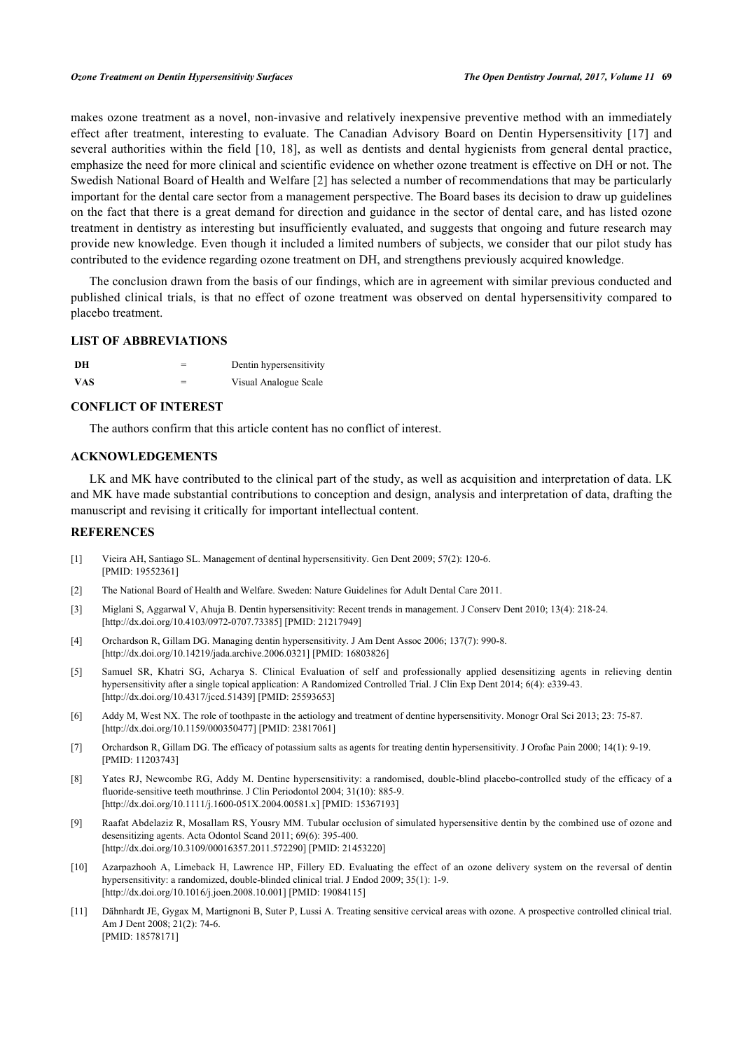makes ozone treatment as a novel, non-invasive and relatively inexpensive preventive method with an immediately effect after treatment, interesting to evaluate. The Canadian Advisory Board on Dentin Hypersensitivity [\[17\]](#page-5-5) and several authorities within the field [\[10](#page-4-7), [18\]](#page-5-6), as well as dentists and dental hygienists from general dental practice, emphasize the need for more clinical and scientific evidence on whether ozone treatment is effective on DH or not. The Swedish National Board of Health and Welfare [\[2](#page-4-1)] has selected a number of recommendations that may be particularly important for the dental care sector from a management perspective. The Board bases its decision to draw up guidelines on the fact that there is a great demand for direction and guidance in the sector of dental care, and has listed ozone treatment in dentistry as interesting but insufficiently evaluated, and suggests that ongoing and future research may provide new knowledge. Even though it included a limited numbers of subjects, we consider that our pilot study has contributed to the evidence regarding ozone treatment on DH, and strengthens previously acquired knowledge.

The conclusion drawn from the basis of our findings, which are in agreement with similar previous conducted and published clinical trials, is that no effect of ozone treatment was observed on dental hypersensitivity compared to placebo treatment.

# **LIST OF ABBREVIATIONS**

| DH         | Dentin hypersensitivity |
|------------|-------------------------|
| <b>VAS</b> | Visual Analogue Scale   |

# **CONFLICT OF INTEREST**

The authors confirm that this article content has no conflict of interest.

# **ACKNOWLEDGEMENTS**

LK and MK have contributed to the clinical part of the study, as well as acquisition and interpretation of data. LK and MK have made substantial contributions to conception and design, analysis and interpretation of data, drafting the manuscript and revising it critically for important intellectual content.

### **REFERENCES**

- <span id="page-4-0"></span>[1] Vieira AH, Santiago SL. Management of dentinal hypersensitivity. Gen Dent 2009; 57(2): 120-6. [PMID: [19552361\]](http://www.ncbi.nlm.nih.gov/pubmed/19552361)
- <span id="page-4-1"></span>[2] The National Board of Health and Welfare. Sweden: Nature Guidelines for Adult Dental Care 2011.
- <span id="page-4-2"></span>[3] Miglani S, Aggarwal V, Ahuja B. Dentin hypersensitivity: Recent trends in management. J Conserv Dent 2010; 13(4): 218-24. [\[http://dx.doi.org/10.4103/0972-0707.73385](http://dx.doi.org/10.4103/0972-0707.73385)] [PMID: [21217949](http://www.ncbi.nlm.nih.gov/pubmed/21217949)]
- <span id="page-4-3"></span>[4] Orchardson R, Gillam DG. Managing dentin hypersensitivity. J Am Dent Assoc 2006; 137(7): 990-8. [\[http://dx.doi.org/10.14219/jada.archive.2006.0321\]](http://dx.doi.org/10.14219/jada.archive.2006.0321) [PMID: [16803826](http://www.ncbi.nlm.nih.gov/pubmed/16803826)]
- <span id="page-4-4"></span>[5] Samuel SR, Khatri SG, Acharya S. Clinical Evaluation of self and professionally applied desensitizing agents in relieving dentin hypersensitivity after a single topical application: A Randomized Controlled Trial. J Clin Exp Dent 2014; 6(4): e339-43. [\[http://dx.doi.org/10.4317/jced.51439](http://dx.doi.org/10.4317/jced.51439)] [PMID: [25593653\]](http://www.ncbi.nlm.nih.gov/pubmed/25593653)
- <span id="page-4-9"></span>[6] Addy M, West NX. The role of toothpaste in the aetiology and treatment of dentine hypersensitivity. Monogr Oral Sci 2013; 23: 75-87. [\[http://dx.doi.org/10.1159/000350477\]](http://dx.doi.org/10.1159/000350477) [PMID: [23817061](http://www.ncbi.nlm.nih.gov/pubmed/23817061)]
- [7] Orchardson R, Gillam DG. The efficacy of potassium salts as agents for treating dentin hypersensitivity. J Orofac Pain 2000; 14(1): 9-19. [PMID: [11203743\]](http://www.ncbi.nlm.nih.gov/pubmed/11203743)
- <span id="page-4-5"></span>[8] Yates RJ, Newcombe RG, Addy M. Dentine hypersensitivity: a randomised, double-blind placebo-controlled study of the efficacy of a fluoride-sensitive teeth mouthrinse. J Clin Periodontol 2004; 31(10): 885-9. [\[http://dx.doi.org/10.1111/j.1600-051X.2004.00581.x](http://dx.doi.org/10.1111/j.1600-051X.2004.00581.x)] [PMID: [15367193](http://www.ncbi.nlm.nih.gov/pubmed/15367193)]
- <span id="page-4-6"></span>[9] Raafat Abdelaziz R, Mosallam RS, Yousry MM. Tubular occlusion of simulated hypersensitive dentin by the combined use of ozone and desensitizing agents. Acta Odontol Scand 2011; 69(6): 395-400. [\[http://dx.doi.org/10.3109/00016357.2011.572290\]](http://dx.doi.org/10.3109/00016357.2011.572290) [PMID: [21453220](http://www.ncbi.nlm.nih.gov/pubmed/21453220)]
- <span id="page-4-7"></span>[10] Azarpazhooh A, Limeback H, Lawrence HP, Fillery ED. Evaluating the effect of an ozone delivery system on the reversal of dentin hypersensitivity: a randomized, double-blinded clinical trial. J Endod 2009; 35(1): 1-9. [\[http://dx.doi.org/10.1016/j.joen.2008.10.001\]](http://dx.doi.org/10.1016/j.joen.2008.10.001) [PMID: [19084115](http://www.ncbi.nlm.nih.gov/pubmed/19084115)]
- <span id="page-4-8"></span>[11] Dähnhardt JE, Gygax M, Martignoni B, Suter P, Lussi A. Treating sensitive cervical areas with ozone. A prospective controlled clinical trial. Am J Dent 2008; 21(2): 74-6. [PMID: [18578171\]](http://www.ncbi.nlm.nih.gov/pubmed/18578171)